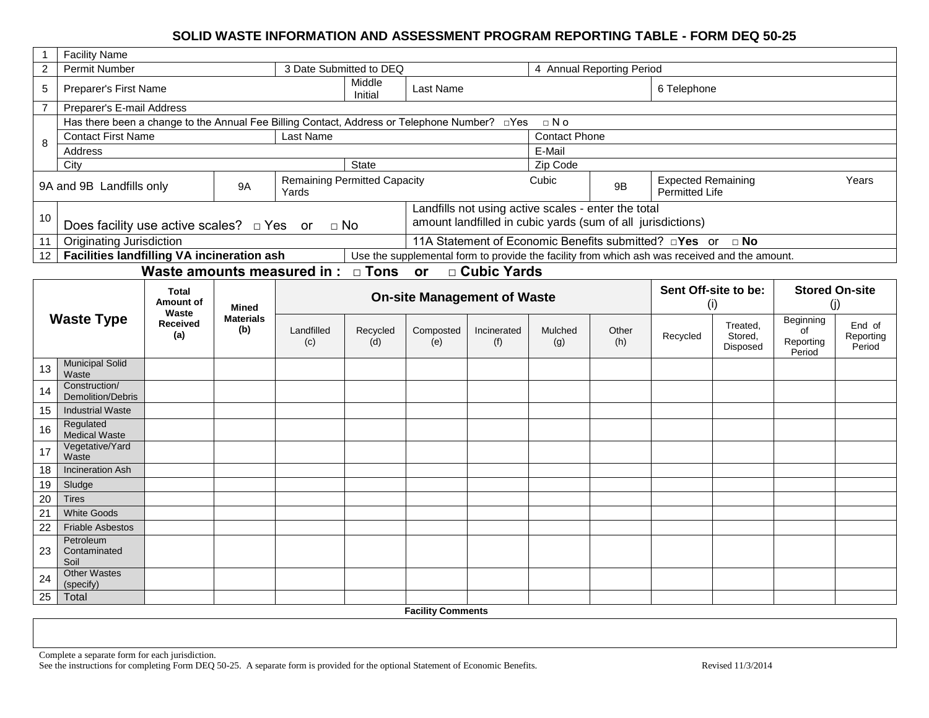# **SOLID WASTE INFORMATION AND ASSESSMENT PROGRAM REPORTING TABLE - FORM DEQ 50-25**

|                | <b>Facility Name</b>                                                                    |                             |                         |                                              |                   |                      |                                                                                               |                                                                                                                    |                           |                                             |                      |                              |                     |  |  |  |
|----------------|-----------------------------------------------------------------------------------------|-----------------------------|-------------------------|----------------------------------------------|-------------------|----------------------|-----------------------------------------------------------------------------------------------|--------------------------------------------------------------------------------------------------------------------|---------------------------|---------------------------------------------|----------------------|------------------------------|---------------------|--|--|--|
| $\overline{c}$ | <b>Permit Number</b>                                                                    |                             |                         | 3 Date Submitted to DEQ                      |                   |                      |                                                                                               |                                                                                                                    | 4 Annual Reporting Period |                                             |                      |                              |                     |  |  |  |
| 5              | Preparer's First Name                                                                   |                             |                         |                                              | Middle<br>Initial | Last Name            |                                                                                               |                                                                                                                    |                           | 6 Telephone                                 |                      |                              |                     |  |  |  |
| $\overline{7}$ | Preparer's E-mail Address                                                               |                             |                         |                                              |                   |                      |                                                                                               |                                                                                                                    |                           |                                             |                      |                              |                     |  |  |  |
|                | Has there been a change to the Annual Fee Billing Contact, Address or Telephone Number? |                             |                         |                                              |                   |                      | ⊡Yes                                                                                          | $\Box$ No                                                                                                          |                           |                                             |                      |                              |                     |  |  |  |
| 8              | <b>Contact First Name</b>                                                               |                             |                         | Last Name                                    |                   | <b>Contact Phone</b> |                                                                                               |                                                                                                                    |                           |                                             |                      |                              |                     |  |  |  |
|                | Address                                                                                 |                             |                         |                                              |                   |                      |                                                                                               | E-Mail                                                                                                             |                           |                                             |                      |                              |                     |  |  |  |
|                | City                                                                                    |                             |                         |                                              | State             |                      |                                                                                               | Zip Code                                                                                                           |                           |                                             |                      |                              |                     |  |  |  |
|                | 9A and 9B Landfills only                                                                |                             | <b>9A</b>               | <b>Remaining Permitted Capacity</b><br>Yards |                   |                      |                                                                                               | Cubic                                                                                                              | 9B                        | <b>Expected Remaining</b><br>Permitted Life |                      |                              | Years               |  |  |  |
| 10             | Does facility use active scales? $\Box$ Yes                                             |                             |                         | $\Box$ No<br>or                              |                   |                      |                                                                                               | Landfills not using active scales - enter the total<br>amount landfilled in cubic yards (sum of all jurisdictions) |                           |                                             |                      |                              |                     |  |  |  |
| 11             | <b>Originating Jurisdiction</b>                                                         |                             |                         |                                              |                   |                      | 11A Statement of Economic Benefits submitted? <b>Pres</b> or <b>PRO</b>                       |                                                                                                                    |                           |                                             |                      |                              |                     |  |  |  |
| 12             | Facilities landfilling VA incineration ash                                              |                             |                         |                                              |                   |                      | Use the supplemental form to provide the facility from which ash was received and the amount. |                                                                                                                    |                           |                                             |                      |                              |                     |  |  |  |
|                |                                                                                         | Waste amounts measured in : |                         |                                              | $\Box$ Tons       | or                   | □ Cubic Yards                                                                                 |                                                                                                                    |                           |                                             |                      |                              |                     |  |  |  |
|                |                                                                                         | <b>Total</b>                |                         |                                              |                   |                      |                                                                                               |                                                                                                                    |                           |                                             | Sent Off-site to be: | <b>Stored On-site</b><br>(j) |                     |  |  |  |
|                |                                                                                         |                             |                         | <b>On-site Management of Waste</b>           |                   |                      |                                                                                               | (i)                                                                                                                |                           |                                             |                      |                              |                     |  |  |  |
|                | <b>Waste Type</b>                                                                       | Waste<br><b>Received</b>    | <b>Materials</b><br>(b) | Landfilled                                   | Recycled          | Composted            | Incinerated                                                                                   | Mulched                                                                                                            | Other                     |                                             | Treated,             | Beginning<br>of              | End of              |  |  |  |
|                |                                                                                         | (a)                         |                         | (c)                                          | (d)               | (e)                  | (f)                                                                                           | (g)                                                                                                                | (h)                       | Recycled                                    | Stored,<br>Disposed  | Reporting<br>Period          | Reporting<br>Period |  |  |  |
| 13             | <b>Municipal Solid</b><br>Waste                                                         |                             |                         |                                              |                   |                      |                                                                                               |                                                                                                                    |                           |                                             |                      |                              |                     |  |  |  |
| 14             | Construction/<br><b>Demolition/Debris</b>                                               |                             |                         |                                              |                   |                      |                                                                                               |                                                                                                                    |                           |                                             |                      |                              |                     |  |  |  |
| 15             | <b>Industrial Waste</b>                                                                 |                             |                         |                                              |                   |                      |                                                                                               |                                                                                                                    |                           |                                             |                      |                              |                     |  |  |  |
| 16             | Regulated<br>Medical Waste                                                              |                             |                         |                                              |                   |                      |                                                                                               |                                                                                                                    |                           |                                             |                      |                              |                     |  |  |  |
| 17             | Vegetative/Yard<br>Waste                                                                |                             |                         |                                              |                   |                      |                                                                                               |                                                                                                                    |                           |                                             |                      |                              |                     |  |  |  |
| 18             | <b>Incineration Ash</b>                                                                 |                             |                         |                                              |                   |                      |                                                                                               |                                                                                                                    |                           |                                             |                      |                              |                     |  |  |  |
| 19             | Sludge                                                                                  |                             |                         |                                              |                   |                      |                                                                                               |                                                                                                                    |                           |                                             |                      |                              |                     |  |  |  |
| 20             | <b>Tires</b>                                                                            |                             |                         |                                              |                   |                      |                                                                                               |                                                                                                                    |                           |                                             |                      |                              |                     |  |  |  |
| 21             | <b>White Goods</b>                                                                      |                             |                         |                                              |                   |                      |                                                                                               |                                                                                                                    |                           |                                             |                      |                              |                     |  |  |  |
| 22             | <b>Friable Asbestos</b>                                                                 |                             |                         |                                              |                   |                      |                                                                                               |                                                                                                                    |                           |                                             |                      |                              |                     |  |  |  |
| 23             | Petroleum<br>Contaminated                                                               |                             |                         |                                              |                   |                      |                                                                                               |                                                                                                                    |                           |                                             |                      |                              |                     |  |  |  |
| 24             | Soil<br><b>Other Wastes</b>                                                             |                             |                         |                                              |                   |                      |                                                                                               |                                                                                                                    |                           |                                             |                      |                              |                     |  |  |  |
| 25             | (specify)<br>Total                                                                      |                             |                         |                                              |                   |                      |                                                                                               |                                                                                                                    |                           |                                             |                      |                              |                     |  |  |  |

Complete a separate form for each jurisdiction. See the instructions for completing Form DEQ 50-25. A separate form is provided for the optional Statement of Economic Benefits. Revised 11/3/2014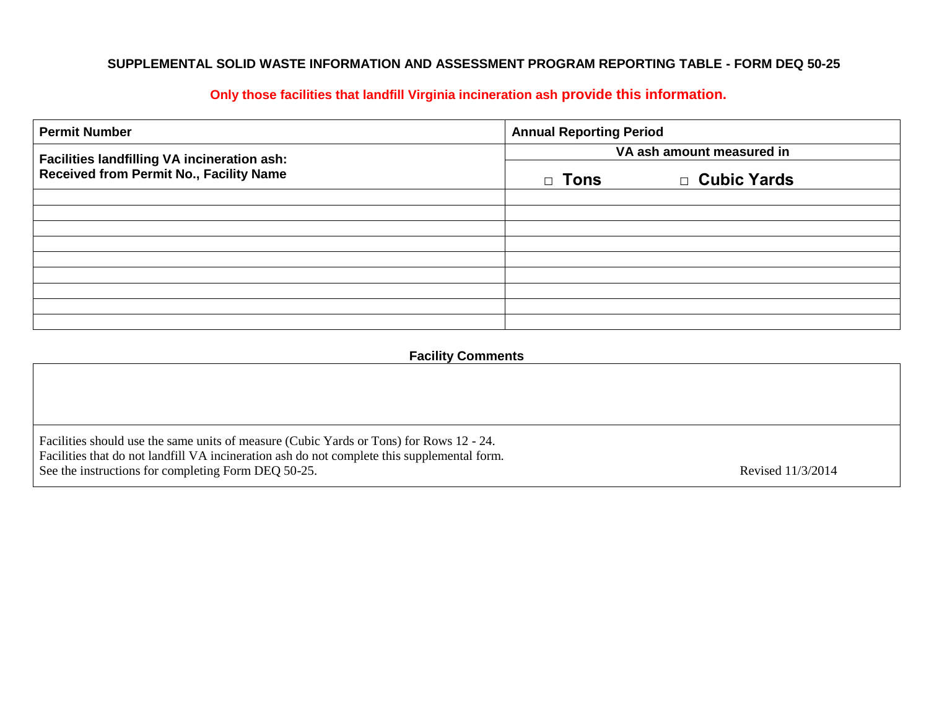# **SUPPLEMENTAL SOLID WASTE INFORMATION AND ASSESSMENT PROGRAM REPORTING TABLE - FORM DEQ 50-25**

| <b>Permit Number</b>                           | <b>Annual Reporting Period</b> |               |  |  |  |  |  |
|------------------------------------------------|--------------------------------|---------------|--|--|--|--|--|
| Facilities landfilling VA incineration ash:    | VA ash amount measured in      |               |  |  |  |  |  |
| <b>Received from Permit No., Facility Name</b> | □ Tons                         | □ Cubic Yards |  |  |  |  |  |
|                                                |                                |               |  |  |  |  |  |
|                                                |                                |               |  |  |  |  |  |
|                                                |                                |               |  |  |  |  |  |
|                                                |                                |               |  |  |  |  |  |
|                                                |                                |               |  |  |  |  |  |
|                                                |                                |               |  |  |  |  |  |
|                                                |                                |               |  |  |  |  |  |

# **Only those facilities that landfill Virginia incineration ash provide this information.**

# **Facility Comments**

| Facilities should use the same units of measure (Cubic Yards or Tons) for Rows 12 - 24.<br>Facilities that do not landfill VA incineration ash do not complete this supplemental form.<br>See the instructions for completing Form DEQ 50-25. | Revised 11/3/2014 |
|-----------------------------------------------------------------------------------------------------------------------------------------------------------------------------------------------------------------------------------------------|-------------------|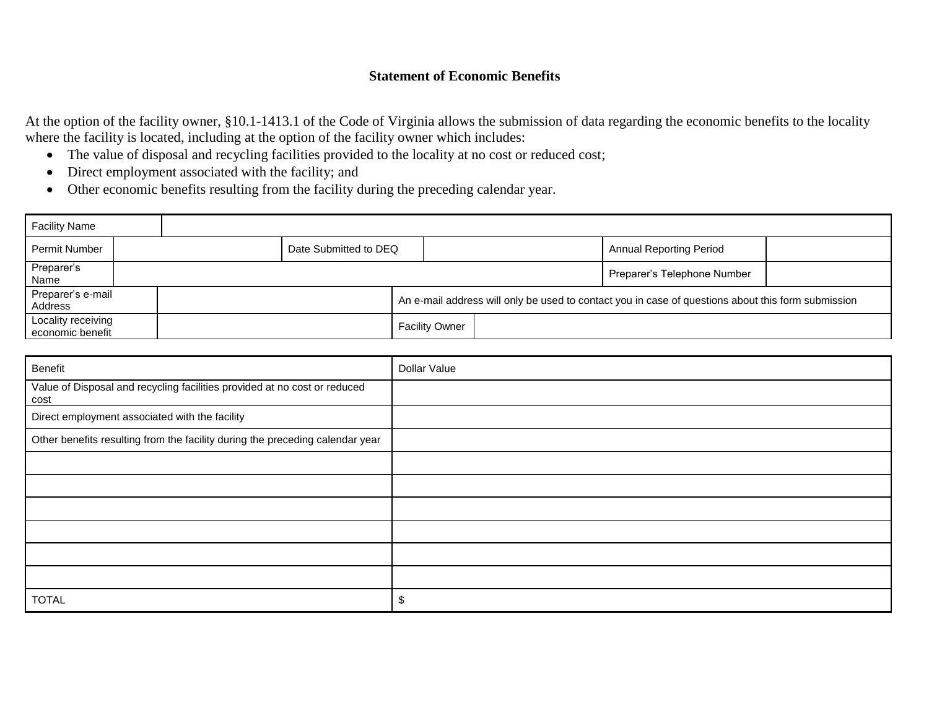# **Statement of Economic Benefits**

At the option of the facility owner, §10.1-1413.1 of the Code of Virginia allows the submission of data regarding the economic benefits to the locality where the facility is located, including at the option of the facility owner which includes:

- The value of disposal and recycling facilities provided to the locality at no cost or reduced cost;
- Direct employment associated with the facility; and
- Other economic benefits resulting from the facility during the preceding calendar year.

| <b>Facility Name</b>                   |  |                                                                                                    |                       |  |                                |  |
|----------------------------------------|--|----------------------------------------------------------------------------------------------------|-----------------------|--|--------------------------------|--|
| Permit Number                          |  | Date Submitted to DEQ                                                                              |                       |  | <b>Annual Reporting Period</b> |  |
| Preparer's<br>Name                     |  |                                                                                                    |                       |  | Preparer's Telephone Number    |  |
| Preparer's e-mail<br>Address           |  | An e-mail address will only be used to contact you in case of questions about this form submission |                       |  |                                |  |
| Locality receiving<br>economic benefit |  |                                                                                                    | <b>Facility Owner</b> |  |                                |  |

| Benefit                                                                           | Dollar Value |
|-----------------------------------------------------------------------------------|--------------|
| Value of Disposal and recycling facilities provided at no cost or reduced<br>cost |              |
| Direct employment associated with the facility                                    |              |
| Other benefits resulting from the facility during the preceding calendar year     |              |
|                                                                                   |              |
|                                                                                   |              |
|                                                                                   |              |
|                                                                                   |              |
|                                                                                   |              |
|                                                                                   |              |
| <b>TOTAL</b>                                                                      | \$           |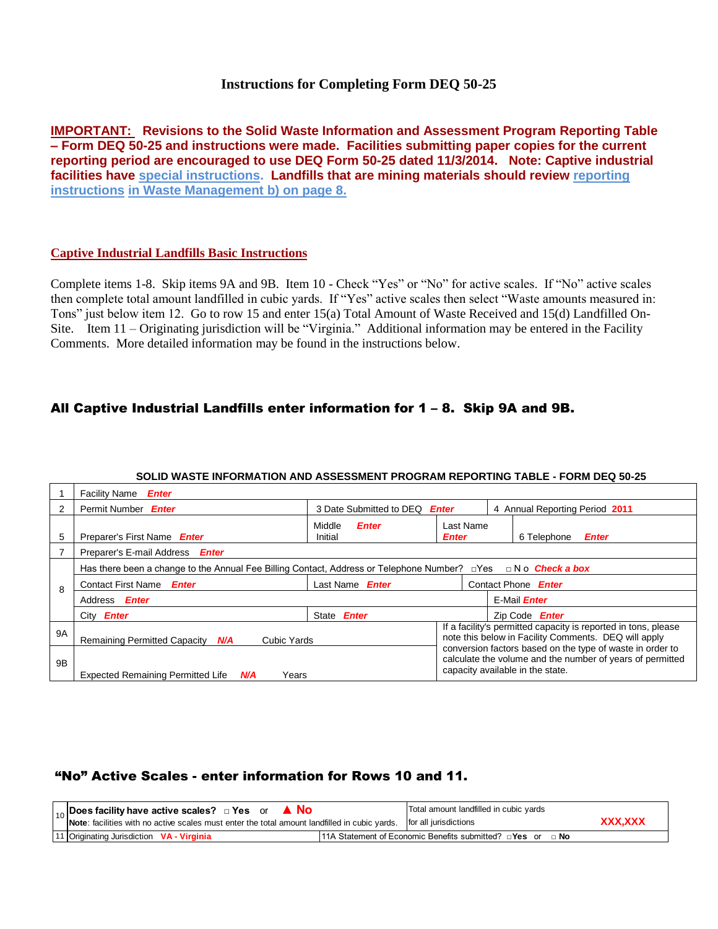## **Instructions for Completing Form DEQ 50-25**

**IMPORTANT: Revisions to the Solid Waste Information and Assessment Program Reporting Table – Form DEQ 50-25 and instructions were made. Facilities submitting paper copies for the current reporting period are encouraged to use DEQ Form 50-25 dated 11/3/2014. Note: Captive industrial facilities have special instructions. Landfills that are mining materials should review reporting instructions in Waste Management b) on page 8.** 

#### **Captive Industrial Landfills Basic Instructions**

Complete items 1-8. Skip items 9A and 9B. Item 10 - Check "Yes" or "No" for active scales. If "No" active scales then complete total amount landfilled in cubic yards. If "Yes" active scales then select "Waste amounts measured in: Tons" just below item 12. Go to row 15 and enter 15(a) Total Amount of Waste Received and 15(d) Landfilled On-Site. Item 11 – Originating jurisdiction will be "Virginia." Additional information may be entered in the Facility Comments. More detailed information may be found in the instructions below.

# All Captive Industrial Landfills enter information for 1 – 8. Skip 9A and 9B.

|           | <b>Facility Name</b><br><b>Enter</b>                                                                                      |                                   |                                                                                                                                                            |                            |                                                                                                                        |  |  |  |  |  |
|-----------|---------------------------------------------------------------------------------------------------------------------------|-----------------------------------|------------------------------------------------------------------------------------------------------------------------------------------------------------|----------------------------|------------------------------------------------------------------------------------------------------------------------|--|--|--|--|--|
| 2         | Permit Number Enter                                                                                                       | 3 Date Submitted to DEQ           | <b>Enter</b>                                                                                                                                               |                            | 4 Annual Reporting Period 2011                                                                                         |  |  |  |  |  |
| 5         | Preparer's First Name Enter                                                                                               | Middle<br><b>Enter</b><br>Initial | Last Name<br><b>Enter</b>                                                                                                                                  |                            | 6 Telephone<br><b>Enter</b>                                                                                            |  |  |  |  |  |
|           | Preparer's E-mail Address Enter                                                                                           |                                   |                                                                                                                                                            |                            |                                                                                                                        |  |  |  |  |  |
|           | Has there been a change to the Annual Fee Billing Contact, Address or Telephone Number? $\Box$ Yes $\Box$ N o Check a box |                                   |                                                                                                                                                            |                            |                                                                                                                        |  |  |  |  |  |
| 8         | <b>Contact First Name</b><br><b>Enter</b>                                                                                 | Last Name<br><b>Enter</b>         |                                                                                                                                                            | Contact Phone <b>Enter</b> |                                                                                                                        |  |  |  |  |  |
|           | Address <b>Enter</b>                                                                                                      |                                   |                                                                                                                                                            |                            | E-Mail <i>Enter</i>                                                                                                    |  |  |  |  |  |
|           | City <b>Enter</b>                                                                                                         | State <b>Enter</b>                |                                                                                                                                                            |                            | Zip Code <b>Enter</b>                                                                                                  |  |  |  |  |  |
| <b>9A</b> | Remaining Permitted Capacity<br><b>Cubic Yards</b><br>N/A                                                                 |                                   |                                                                                                                                                            |                            | If a facility's permitted capacity is reported in tons, please<br>note this below in Facility Comments. DEQ will apply |  |  |  |  |  |
| 9B        | <b>Expected Remaining Permitted Life</b><br>N/A<br>Years                                                                  |                                   | conversion factors based on the type of waste in order to<br>calculate the volume and the number of years of permitted<br>capacity available in the state. |                            |                                                                                                                        |  |  |  |  |  |

#### **SOLID WASTE INFORMATION AND ASSESSMENT PROGRAM REPORTING TABLE - FORM DEQ 50-25**

# "No" Active Scales - enter information for Rows 10 and 11.

| <b>I<sub>10</sub></b> Does facility have active scales? □ Yes or ▲ No                                                   | Total amount landfilled in cubic yards                                |  |        |
|-------------------------------------------------------------------------------------------------------------------------|-----------------------------------------------------------------------|--|--------|
| Note: facilities with no active scales must enter the total amount landfilled in cubic yards. $ $ for all jurisdictions |                                                                       |  | XXX.XX |
| 11   Originating Jurisdiction VA - Virginia                                                                             | 11A Statement of Economic Benefits submitted? $\Box$ Yes or $\Box$ No |  |        |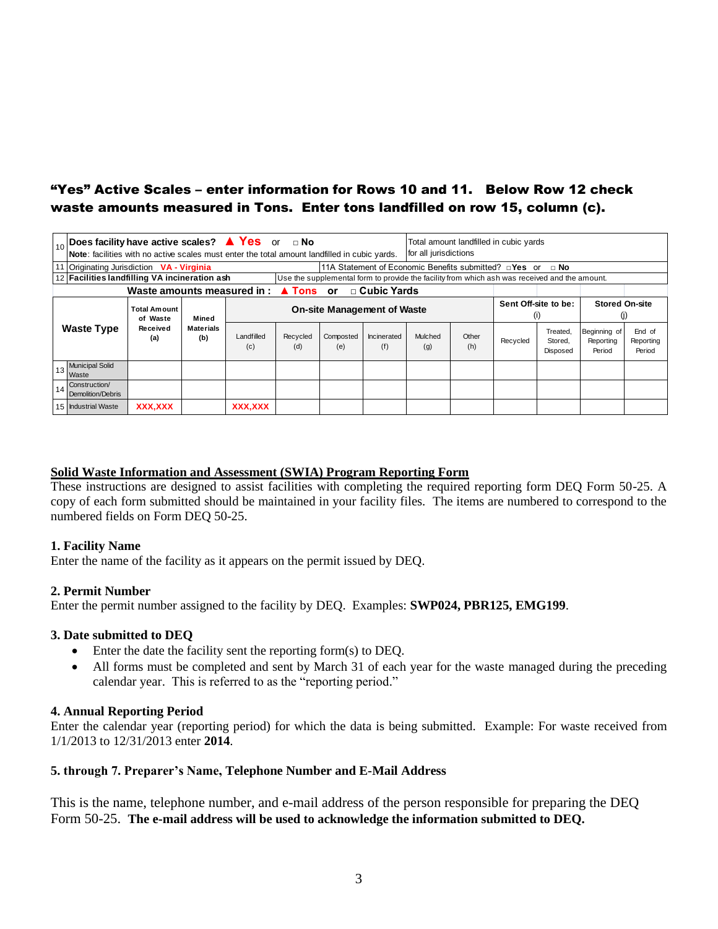# "Yes" Active Scales – enter information for Rows 10 and 11. Below Row 12 check waste amounts measured in Tons. Enter tons landfilled on row 15, column (c).

|    |                                                                                                                                                                                                                                                                             | $\mathbf{F}_{10}$ Does facility have active scales? $\triangle$ Yes or a No<br>Total amount landfilled in cubic yards<br>Note: facilities with no active scales must enter the total amount landfilled in cubic yards.<br>for all jurisdictions |                         |                                    |                 |                  |                    |                |                             |          |                                 |                                     |                               |  |  |
|----|-----------------------------------------------------------------------------------------------------------------------------------------------------------------------------------------------------------------------------------------------------------------------------|-------------------------------------------------------------------------------------------------------------------------------------------------------------------------------------------------------------------------------------------------|-------------------------|------------------------------------|-----------------|------------------|--------------------|----------------|-----------------------------|----------|---------------------------------|-------------------------------------|-------------------------------|--|--|
|    | 11A Statement of Economic Benefits submitted? $\Box$ Yes or $\Box$ No<br>11 Originating Jurisdiction <b>VA - Virginia</b><br>12 Facilities landfilling VA incineration ash<br>Use the supplemental form to provide the facility from which ash was received and the amount. |                                                                                                                                                                                                                                                 |                         |                                    |                 |                  |                    |                |                             |          |                                 |                                     |                               |  |  |
|    | Waste amounts measured in $\triangle$ Tons or<br>$\Box$ Cubic Yards                                                                                                                                                                                                         |                                                                                                                                                                                                                                                 |                         |                                    |                 |                  |                    |                |                             |          |                                 |                                     |                               |  |  |
|    |                                                                                                                                                                                                                                                                             | Total Amount<br>of Waste                                                                                                                                                                                                                        | Mined                   | <b>On-site Management of Waste</b> |                 |                  |                    |                | Sent Off-site to be:<br>(i) |          | <b>Stored On-site</b><br>(i)    |                                     |                               |  |  |
|    | <b>Waste Type</b>                                                                                                                                                                                                                                                           | Received<br>(a)                                                                                                                                                                                                                                 | <b>Materials</b><br>(b) | Landfilled<br>(c)                  | Recycled<br>(d) | Composted<br>(e) | Incinerated<br>(f) | Mulched<br>(g) | Other<br>(h)                | Recycled | Treated,<br>Stored.<br>Disposed | Beginning of<br>Reporting<br>Period | End of<br>Reporting<br>Period |  |  |
| 13 | <b>Municipal Solid</b><br>Waste                                                                                                                                                                                                                                             |                                                                                                                                                                                                                                                 |                         |                                    |                 |                  |                    |                |                             |          |                                 |                                     |                               |  |  |
| 14 | Construction/<br>Demolition/Debris                                                                                                                                                                                                                                          |                                                                                                                                                                                                                                                 |                         |                                    |                 |                  |                    |                |                             |          |                                 |                                     |                               |  |  |
|    | 15 Industrial Waste                                                                                                                                                                                                                                                         | <b>XXX,XXX</b>                                                                                                                                                                                                                                  |                         | <b>XXX,XXX</b>                     |                 |                  |                    |                |                             |          |                                 |                                     |                               |  |  |

#### **Solid Waste Information and Assessment (SWIA) Program Reporting Form**

These instructions are designed to assist facilities with completing the required reporting form DEQ Form 50-25. A copy of each form submitted should be maintained in your facility files. The items are numbered to correspond to the numbered fields on Form DEQ 50-25.

#### **1. Facility Name**

Enter the name of the facility as it appears on the permit issued by DEQ.

#### **2. Permit Number**

Enter the permit number assigned to the facility by DEQ. Examples: **SWP024, PBR125, EMG199**.

#### **3. Date submitted to DEQ**

- Enter the date the facility sent the reporting form(s) to DEQ.
- All forms must be completed and sent by March 31 of each year for the waste managed during the preceding calendar year. This is referred to as the "reporting period."

#### **4. Annual Reporting Period**

Enter the calendar year (reporting period) for which the data is being submitted. Example: For waste received from 1/1/2013 to 12/31/2013 enter **2014**.

#### **5. through 7. Preparer's Name, Telephone Number and E-Mail Address**

This is the name, telephone number, and e-mail address of the person responsible for preparing the DEQ Form 50-25. **The e-mail address will be used to acknowledge the information submitted to DEQ.**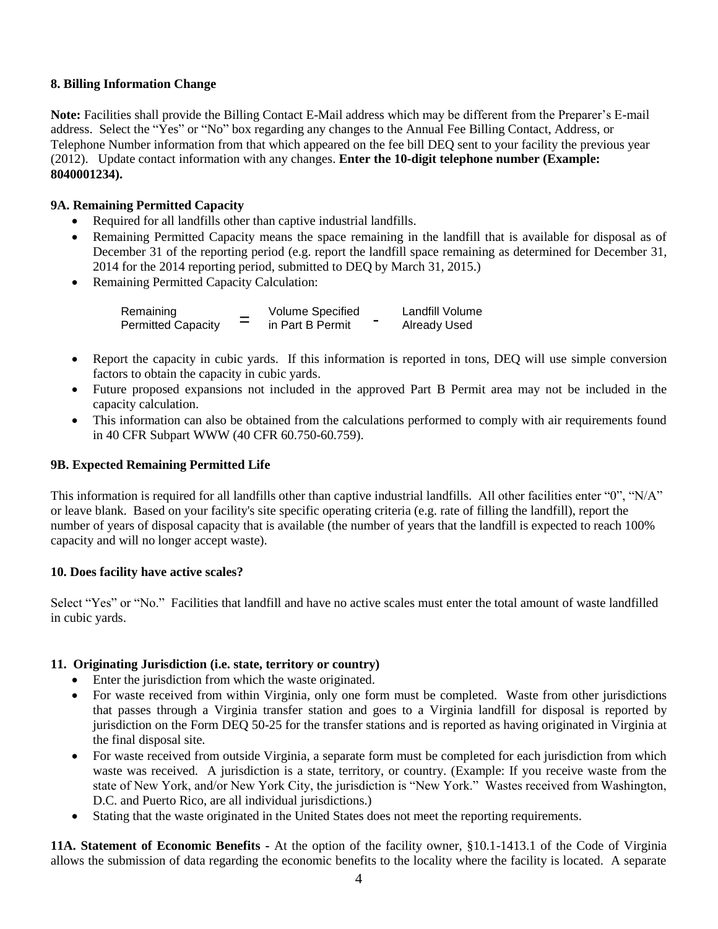# **8. Billing Information Change**

**Note:** Facilities shall provide the Billing Contact E-Mail address which may be different from the Preparer's E-mail address. Select the "Yes" or "No" box regarding any changes to the Annual Fee Billing Contact, Address, or Telephone Number information from that which appeared on the fee bill DEQ sent to your facility the previous year (2012). Update contact information with any changes. **Enter the 10-digit telephone number (Example: 8040001234).**

# **9A. Remaining Permitted Capacity**

- Required for all landfills other than captive industrial landfills.
- Remaining Permitted Capacity means the space remaining in the landfill that is available for disposal as of December 31 of the reporting period (e.g. report the landfill space remaining as determined for December 31, 2014 for the 2014 reporting period, submitted to DEQ by March 31, 2015.)
- Remaining Permitted Capacity Calculation:

| Remaining                 |   | Volume Specified | Landfill Volume     |
|---------------------------|---|------------------|---------------------|
| <b>Permitted Capacity</b> | = | in Part B Permit | <b>Already Used</b> |

- Report the capacity in cubic yards. If this information is reported in tons, DEQ will use simple conversion factors to obtain the capacity in cubic yards.
- Future proposed expansions not included in the approved Part B Permit area may not be included in the capacity calculation.
- This information can also be obtained from the calculations performed to comply with air requirements found in 40 CFR Subpart WWW (40 CFR 60.750-60.759).

# **9B. Expected Remaining Permitted Life**

This information is required for all landfills other than captive industrial landfills. All other facilities enter "0", "N/A" or leave blank. Based on your facility's site specific operating criteria (e.g. rate of filling the landfill), report the number of years of disposal capacity that is available (the number of years that the landfill is expected to reach 100% capacity and will no longer accept waste).

# **10. Does facility have active scales?**

Select "Yes" or "No." Facilities that landfill and have no active scales must enter the total amount of waste landfilled in cubic yards.

# **11. Originating Jurisdiction (i.e. state, territory or country)**

- Enter the jurisdiction from which the waste originated.
- For waste received from within Virginia, only one form must be completed. Waste from other jurisdictions that passes through a Virginia transfer station and goes to a Virginia landfill for disposal is reported by jurisdiction on the Form DEQ 50-25 for the transfer stations and is reported as having originated in Virginia at the final disposal site.
- For waste received from outside Virginia, a separate form must be completed for each jurisdiction from which waste was received. A jurisdiction is a state, territory, or country. (Example: If you receive waste from the state of New York, and/or New York City, the jurisdiction is "New York." Wastes received from Washington, D.C. and Puerto Rico, are all individual jurisdictions.)
- Stating that the waste originated in the United States does not meet the reporting requirements.

**11A. Statement of Economic Benefits -** At the option of the facility owner, §10.1-1413.1 of the Code of Virginia allows the submission of data regarding the economic benefits to the locality where the facility is located. A separate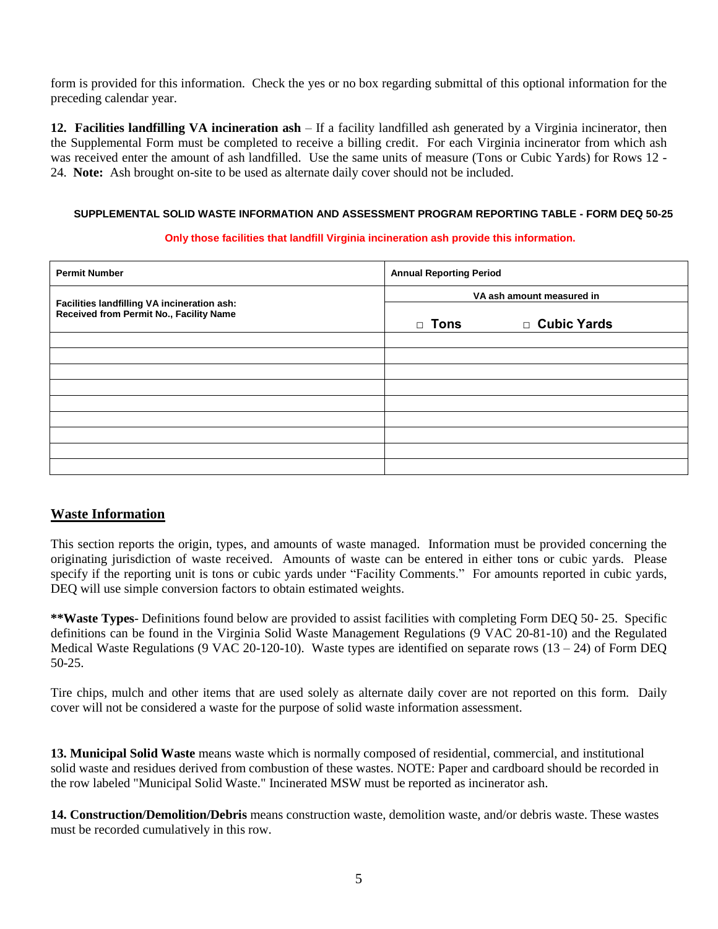form is provided for this information. Check the yes or no box regarding submittal of this optional information for the preceding calendar year.

**12. Facilities landfilling VA incineration ash** – If a facility landfilled ash generated by a Virginia incinerator, then the Supplemental Form must be completed to receive a billing credit. For each Virginia incinerator from which ash was received enter the amount of ash landfilled. Use the same units of measure (Tons or Cubic Yards) for Rows 12 -24. **Note:** Ash brought on-site to be used as alternate daily cover should not be included.

#### **SUPPLEMENTAL SOLID WASTE INFORMATION AND ASSESSMENT PROGRAM REPORTING TABLE - FORM DEQ 50-25**

#### **Only those facilities that landfill Virginia incineration ash provide this information.**

| <b>Permit Number</b>                                                                   | <b>Annual Reporting Period</b> |               |  |  |  |  |
|----------------------------------------------------------------------------------------|--------------------------------|---------------|--|--|--|--|
|                                                                                        | VA ash amount measured in      |               |  |  |  |  |
| Facilities landfilling VA incineration ash:<br>Received from Permit No., Facility Name | $\Box$ Tons                    | □ Cubic Yards |  |  |  |  |
|                                                                                        |                                |               |  |  |  |  |
|                                                                                        |                                |               |  |  |  |  |
|                                                                                        |                                |               |  |  |  |  |
|                                                                                        |                                |               |  |  |  |  |
|                                                                                        |                                |               |  |  |  |  |
|                                                                                        |                                |               |  |  |  |  |
|                                                                                        |                                |               |  |  |  |  |
|                                                                                        |                                |               |  |  |  |  |
|                                                                                        |                                |               |  |  |  |  |

# **Waste Information**

This section reports the origin, types, and amounts of waste managed. Information must be provided concerning the originating jurisdiction of waste received. Amounts of waste can be entered in either tons or cubic yards. Please specify if the reporting unit is tons or cubic yards under "Facility Comments." For amounts reported in cubic yards, DEQ will use simple conversion factors to obtain estimated weights.

**\*\*Waste Types**- Definitions found below are provided to assist facilities with completing Form DEQ 50- 25. Specific definitions can be found in the Virginia Solid Waste Management Regulations (9 VAC 20-81-10) and the Regulated Medical Waste Regulations (9 VAC 20-120-10). Waste types are identified on separate rows  $(13 – 24)$  of Form DEQ 50-25.

Tire chips, mulch and other items that are used solely as alternate daily cover are not reported on this form. Daily cover will not be considered a waste for the purpose of solid waste information assessment.

**13. Municipal Solid Waste** means waste which is normally composed of residential, commercial, and institutional solid waste and residues derived from combustion of these wastes. NOTE: Paper and cardboard should be recorded in the row labeled "Municipal Solid Waste." Incinerated MSW must be reported as incinerator ash.

**14. Construction/Demolition/Debris** means construction waste, demolition waste, and/or debris waste. These wastes must be recorded cumulatively in this row.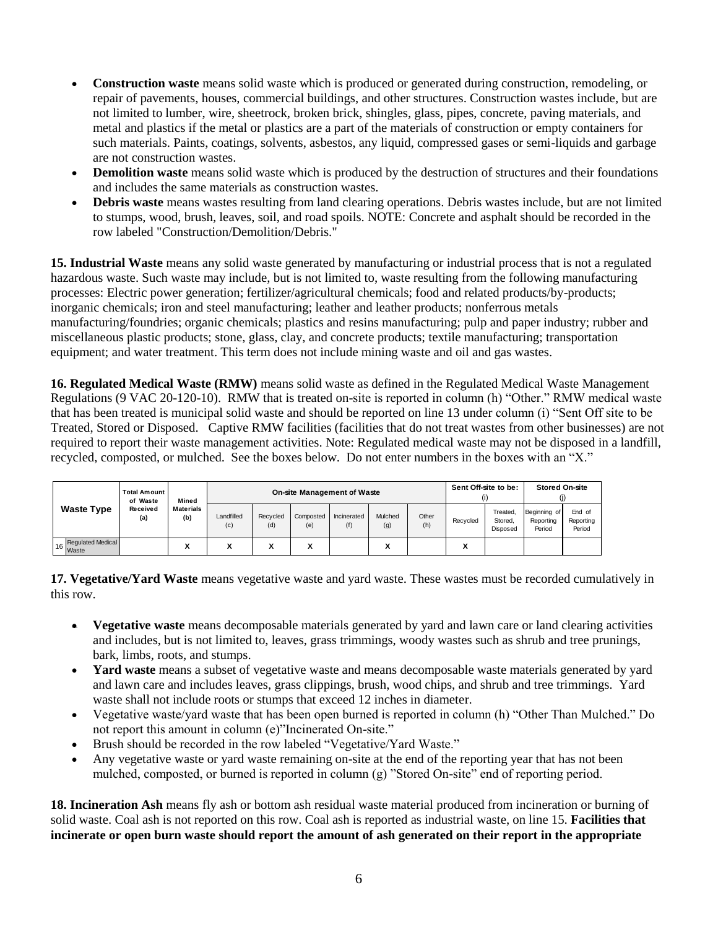- **Construction waste** means solid waste which is produced or generated during construction, remodeling, or repair of pavements, houses, commercial buildings, and other structures. Construction wastes include, but are not limited to lumber, wire, sheetrock, broken brick, shingles, glass, pipes, concrete, paving materials, and metal and plastics if the metal or plastics are a part of the materials of construction or empty containers for such materials. Paints, coatings, solvents, asbestos, any liquid, compressed gases or semi-liquids and garbage are not construction wastes.
- **Demolition waste** means solid waste which is produced by the destruction of structures and their foundations and includes the same materials as construction wastes.
- **Debris waste** means wastes resulting from land clearing operations. Debris wastes include, but are not limited to stumps, wood, brush, leaves, soil, and road spoils. NOTE: Concrete and asphalt should be recorded in the row labeled "Construction/Demolition/Debris."

**15. Industrial Waste** means any solid waste generated by manufacturing or industrial process that is not a regulated hazardous waste. Such waste may include, but is not limited to, waste resulting from the following manufacturing processes: Electric power generation; fertilizer/agricultural chemicals; food and related products/by-products; inorganic chemicals; iron and steel manufacturing; leather and leather products; nonferrous metals manufacturing/foundries; organic chemicals; plastics and resins manufacturing; pulp and paper industry; rubber and miscellaneous plastic products; stone, glass, clay, and concrete products; textile manufacturing; transportation equipment; and water treatment. This term does not include mining waste and oil and gas wastes.

**16. Regulated Medical Waste (RMW)** means solid waste as defined in the Regulated Medical Waste Management Regulations (9 VAC 20-120-10). RMW that is treated on-site is reported in column (h) "Other." RMW medical waste that has been treated is municipal solid waste and should be reported on line 13 under column (i) "Sent Off site to be Treated, Stored or Disposed. Captive RMW facilities (facilities that do not treat wastes from other businesses) are not required to report their waste management activities. Note: Regulated medical waste may not be disposed in a landfill, recycled, composted, or mulched. See the boxes below. Do not enter numbers in the boxes with an "X."

|                     | <b>Total Amount</b><br>of Waste | Mined            | <b>On-site Management of Waste</b> |                 |                  |                    |                |              |          | Sent Off-site to be:            |                                     | <b>Stored On-site</b>         |  |  |  |
|---------------------|---------------------------------|------------------|------------------------------------|-----------------|------------------|--------------------|----------------|--------------|----------|---------------------------------|-------------------------------------|-------------------------------|--|--|--|
| <b>Waste Type</b>   | Received<br>(a)                 | Materials<br>(b) | Landfilled<br>(c)                  | Recycled<br>(d) | Composted<br>(e) | Incinerated<br>(f) | Mulched<br>(g) | Other<br>(h) | Recycled | Treated,<br>Stored.<br>Disposed | Beginning of<br>Reporting<br>Period | End of<br>Reporting<br>Period |  |  |  |
| 6 Regulated Medical |                                 | ۰.<br>л          | v<br>л                             | v<br>Λ          | v<br>↗           |                    | v<br>Λ         |              | v<br>́   |                                 |                                     |                               |  |  |  |

**17. Vegetative/Yard Waste** means vegetative waste and yard waste. These wastes must be recorded cumulatively in this row.

- **Vegetative waste** means decomposable materials generated by yard and lawn care or land clearing activities and includes, but is not limited to, leaves, grass trimmings, woody wastes such as shrub and tree prunings, bark, limbs, roots, and stumps.
- **Yard waste** means a subset of vegetative waste and means decomposable waste materials generated by yard and lawn care and includes leaves, grass clippings, brush, wood chips, and shrub and tree trimmings. Yard waste shall not include roots or stumps that exceed 12 inches in diameter.
- Vegetative waste/yard waste that has been open burned is reported in column (h) "Other Than Mulched." Do not report this amount in column (e)"Incinerated On-site."
- Brush should be recorded in the row labeled "Vegetative/Yard Waste."
- Any vegetative waste or yard waste remaining on-site at the end of the reporting year that has not been mulched, composted, or burned is reported in column (g) "Stored On-site" end of reporting period.

**18. Incineration Ash** means fly ash or bottom ash residual waste material produced from incineration or burning of solid waste. Coal ash is not reported on this row. Coal ash is reported as industrial waste, on line 15. **Facilities that incinerate or open burn waste should report the amount of ash generated on their report in the appropriate**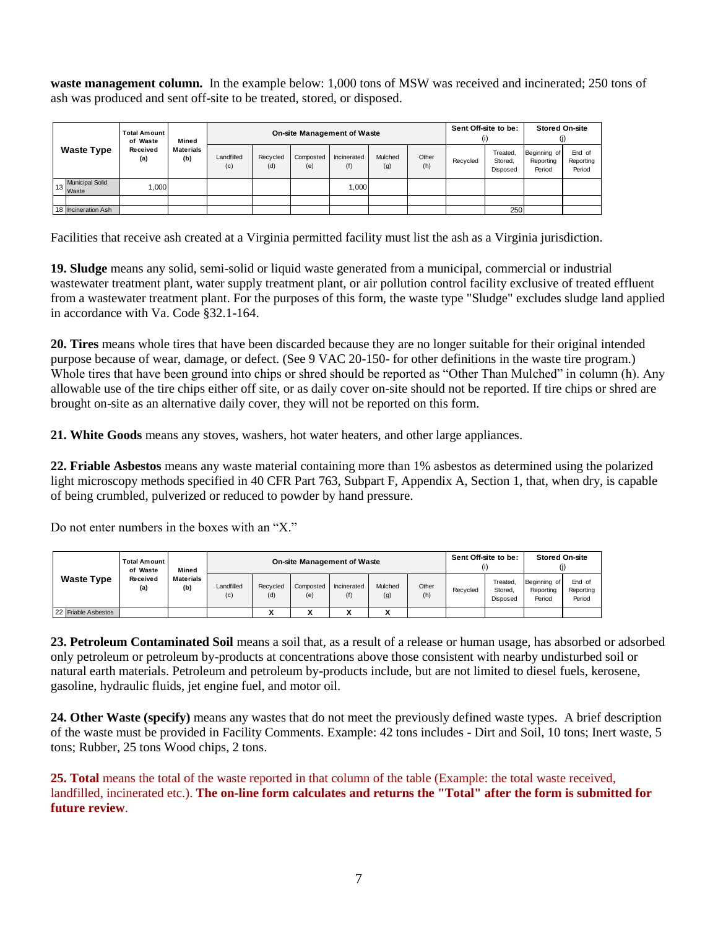**waste management column.** In the example below: 1,000 tons of MSW was received and incinerated; 250 tons of ash was produced and sent off-site to be treated, stored, or disposed.

|                   |                             | <b>Total Amount</b><br>of Waste | Mined            | On-site Management of Waste |                 |                  |                    |                |              | Sent Off-site to be:<br>(i) |                                 | <b>Stored On-site</b><br>(i)        |                               |
|-------------------|-----------------------------|---------------------------------|------------------|-----------------------------|-----------------|------------------|--------------------|----------------|--------------|-----------------------------|---------------------------------|-------------------------------------|-------------------------------|
| <b>Waste Type</b> |                             | Received<br>(a)                 | Materials<br>(b) | Landfilled<br>(c)           | Recycled<br>(d) | Composted<br>(e) | Incinerated<br>(f) | Mulched<br>(g) | Other<br>(h) | Recycled                    | Treated,<br>Stored,<br>Disposed | Beginning of<br>Reporting<br>Period | End of<br>Reporting<br>Period |
|                   | 13 Municipal Solid<br>Waste | 1,000                           |                  |                             |                 |                  | 1,000              |                |              |                             |                                 |                                     |                               |
|                   |                             |                                 |                  |                             |                 |                  |                    |                |              |                             |                                 |                                     |                               |
|                   | 18 Incineration Ash         |                                 |                  |                             |                 |                  |                    |                |              |                             | 250                             |                                     |                               |
|                   |                             |                                 |                  |                             |                 |                  |                    |                |              |                             |                                 |                                     |                               |

Facilities that receive ash created at a Virginia permitted facility must list the ash as a Virginia jurisdiction.

**19. Sludge** means any solid, semi-solid or liquid waste generated from a municipal, commercial or industrial wastewater treatment plant, water supply treatment plant, or air pollution control facility exclusive of treated effluent from a wastewater treatment plant. For the purposes of this form, the waste type "Sludge" excludes sludge land applied in accordance with Va. Code §32.1-164.

**20. Tires** means whole tires that have been discarded because they are no longer suitable for their original intended purpose because of wear, damage, or defect. (See 9 VAC 20-150- for other definitions in the waste tire program.) Whole tires that have been ground into chips or shred should be reported as "Other Than Mulched" in column (h). Any allowable use of the tire chips either off site, or as daily cover on-site should not be reported. If tire chips or shred are brought on-site as an alternative daily cover, they will not be reported on this form.

**21. White Goods** means any stoves, washers, hot water heaters, and other large appliances.

**22. Friable Asbestos** means any waste material containing more than 1% asbestos as determined using the polarized light microscopy methods specified in 40 CFR Part 763, Subpart F, Appendix A, Section 1, that, when dry, is capable of being crumbled, pulverized or reduced to powder by hand pressure.

Do not enter numbers in the boxes with an "X"

|                     | <b>Total Amount</b><br>of Waste | Mined            |                   |                 | <b>On-site Management of Waste</b> |                    |                |              | Sent Off-site to be:<br>(i) |                                 | <b>Stored On-site</b>               |                               |
|---------------------|---------------------------------|------------------|-------------------|-----------------|------------------------------------|--------------------|----------------|--------------|-----------------------------|---------------------------------|-------------------------------------|-------------------------------|
| <b>Waste Type</b>   | Received<br>(a)                 | Materials<br>(b) | Landfilled<br>(c) | Recycled<br>(d) | Composted<br>(e)                   | Incinerated<br>(f) | Mulched<br>(g) | Other<br>(h) | Recycled                    | Treated.<br>Stored.<br>Disposed | Beginning of<br>Reporting<br>Period | End of<br>Reporting<br>Period |
| 22 Friable Asbestos |                                 |                  |                   |                 |                                    |                    |                |              |                             |                                 |                                     |                               |
|                     |                                 |                  |                   |                 |                                    |                    |                |              |                             |                                 |                                     |                               |

**23. Petroleum Contaminated Soil** means a soil that, as a result of a release or human usage, has absorbed or adsorbed only petroleum or petroleum by-products at concentrations above those consistent with nearby undisturbed soil or natural earth materials. Petroleum and petroleum by-products include, but are not limited to diesel fuels, kerosene, gasoline, hydraulic fluids, jet engine fuel, and motor oil.

**24. Other Waste (specify)** means any wastes that do not meet the previously defined waste types. A brief description of the waste must be provided in Facility Comments. Example: 42 tons includes - Dirt and Soil, 10 tons; Inert waste, 5 tons; Rubber, 25 tons Wood chips, 2 tons.

**25. Total** means the total of the waste reported in that column of the table (Example: the total waste received, landfilled, incinerated etc.). **The on-line form calculates and returns the "Total" after the form is submitted for future review**.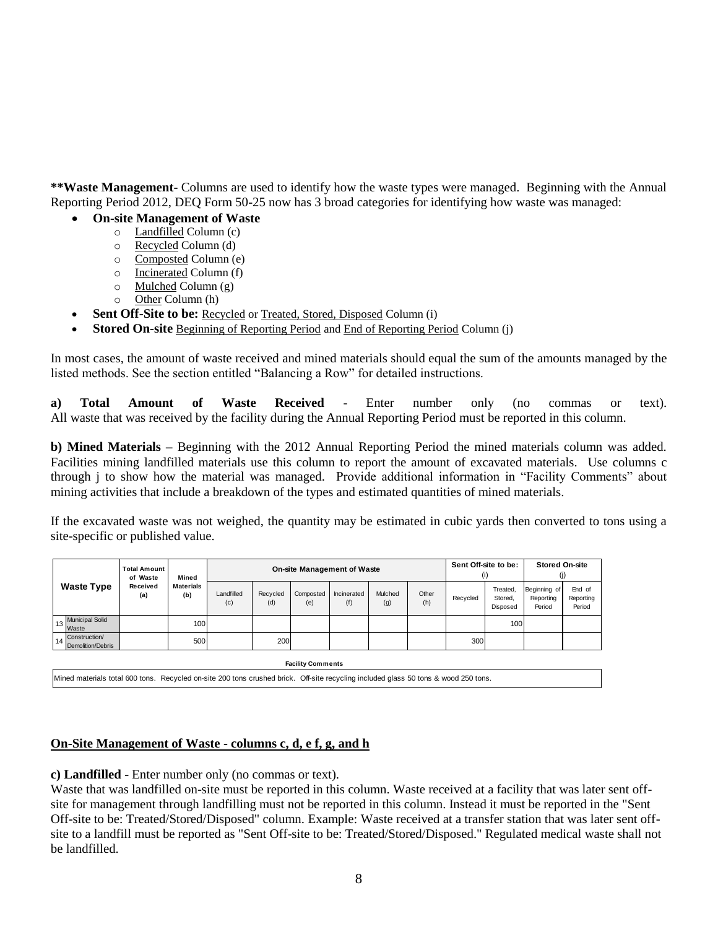**\*\*Waste Management**- Columns are used to identify how the waste types were managed. Beginning with the Annual Reporting Period 2012, DEQ Form 50-25 now has 3 broad categories for identifying how waste was managed:

- **On-site Management of Waste**
	- o Landfilled Column (c)
	- o Recycled Column (d)
	- o Composted Column (e)
	- o Incinerated Column (f)
	- o Mulched Column (g)
	- o Other Column (h)
- Sent Off-Site to be: Recycled or Treated, Stored, Disposed Column (i)
- **Stored On-site** Beginning of Reporting Period and End of Reporting Period Column (j)

In most cases, the amount of waste received and mined materials should equal the sum of the amounts managed by the listed methods. See the section entitled "Balancing a Row" for detailed instructions.

**a) Total Amount of Waste Received** - Enter number only (no commas or text). All waste that was received by the facility during the Annual Reporting Period must be reported in this column.

**b) Mined Materials –** Beginning with the 2012 Annual Reporting Period the mined materials column was added. Facilities mining landfilled materials use this column to report the amount of excavated materials. Use columns c through j to show how the material was managed. Provide additional information in "Facility Comments" about mining activities that include a breakdown of the types and estimated quantities of mined materials.

If the excavated waste was not weighed, the quantity may be estimated in cubic yards then converted to tons using a site-specific or published value.

|                                                                                                                                     | <b>Total Amount</b><br>of Waste | Mined                   |                   | <b>On-site Management of Waste</b> |                  |                    |                |              |          |                                 | <b>Stored On-site</b><br>(i)        |                               |
|-------------------------------------------------------------------------------------------------------------------------------------|---------------------------------|-------------------------|-------------------|------------------------------------|------------------|--------------------|----------------|--------------|----------|---------------------------------|-------------------------------------|-------------------------------|
| <b>Waste Type</b>                                                                                                                   | Received<br>(a)                 | <b>Materials</b><br>(b) | Landfilled<br>(c) | Recycled<br>(d)                    | Composted<br>(e) | Incinerated<br>(f) | Mulched<br>(g) | Other<br>(h) | Recycled | Treated,<br>Stored,<br>Disposed | Beginning of<br>Reporting<br>Period | End of<br>Reporting<br>Period |
| <b>Municipal Solid</b><br>13<br>Waste                                                                                               |                                 | 100                     |                   |                                    |                  |                    |                |              |          | 100                             |                                     |                               |
| Construction/<br>14<br>Demolition/Debris                                                                                            |                                 | 500                     |                   | 200                                |                  |                    |                |              | 300      |                                 |                                     |                               |
| <b>Facility Comments</b>                                                                                                            |                                 |                         |                   |                                    |                  |                    |                |              |          |                                 |                                     |                               |
| Mined materials total 600 tons. Recycled on-site 200 tons crushed brick. Off-site recycling included glass 50 tons & wood 250 tons. |                                 |                         |                   |                                    |                  |                    |                |              |          |                                 |                                     |                               |

**On-Site Management of Waste - columns c, d, e f, g, and h**

**c) Landfilled** - Enter number only (no commas or text).

Waste that was landfilled on-site must be reported in this column. Waste received at a facility that was later sent offsite for management through landfilling must not be reported in this column. Instead it must be reported in the "Sent Off-site to be: Treated/Stored/Disposed" column. Example: Waste received at a transfer station that was later sent offsite to a landfill must be reported as "Sent Off-site to be: Treated/Stored/Disposed." Regulated medical waste shall not be landfilled.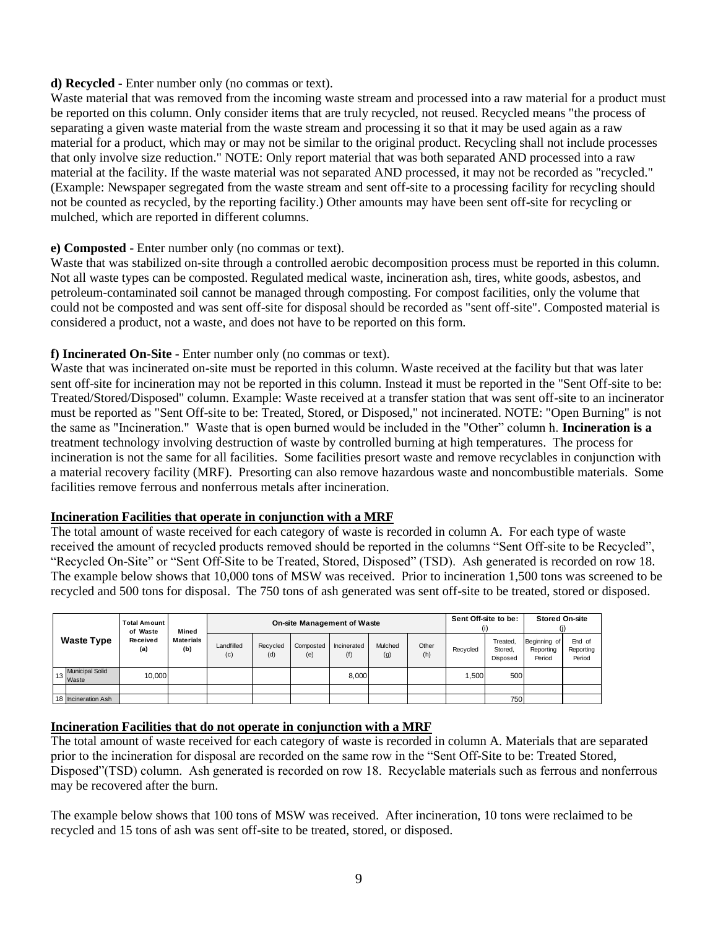## **d) Recycled** - Enter number only (no commas or text).

Waste material that was removed from the incoming waste stream and processed into a raw material for a product must be reported on this column. Only consider items that are truly recycled, not reused. Recycled means "the process of separating a given waste material from the waste stream and processing it so that it may be used again as a raw material for a product, which may or may not be similar to the original product. Recycling shall not include processes that only involve size reduction." NOTE: Only report material that was both separated AND processed into a raw material at the facility. If the waste material was not separated AND processed, it may not be recorded as "recycled." (Example: Newspaper segregated from the waste stream and sent off-site to a processing facility for recycling should not be counted as recycled, by the reporting facility.) Other amounts may have been sent off-site for recycling or mulched, which are reported in different columns.

## **e) Composted** - Enter number only (no commas or text).

Waste that was stabilized on-site through a controlled aerobic decomposition process must be reported in this column. Not all waste types can be composted. Regulated medical waste, incineration ash, tires, white goods, asbestos, and petroleum-contaminated soil cannot be managed through composting. For compost facilities, only the volume that could not be composted and was sent off-site for disposal should be recorded as "sent off-site". Composted material is considered a product, not a waste, and does not have to be reported on this form.

## **f) Incinerated On-Site** - Enter number only (no commas or text).

Waste that was incinerated on-site must be reported in this column. Waste received at the facility but that was later sent off-site for incineration may not be reported in this column. Instead it must be reported in the "Sent Off-site to be: Treated/Stored/Disposed" column. Example: Waste received at a transfer station that was sent off-site to an incinerator must be reported as "Sent Off-site to be: Treated, Stored, or Disposed," not incinerated. NOTE: "Open Burning" is not the same as "Incineration." Waste that is open burned would be included in the "Other" column h. **Incineration is a**  treatment technology involving destruction of waste by controlled burning at high temperatures. The process for incineration is not the same for all facilities. Some facilities presort waste and remove recyclables in conjunction with a material recovery facility (MRF). Presorting can also remove hazardous waste and noncombustible materials. Some facilities remove ferrous and nonferrous metals after incineration.

#### **Incineration Facilities that operate in conjunction with a MRF**

The total amount of waste received for each category of waste is recorded in column A. For each type of waste received the amount of recycled products removed should be reported in the columns "Sent Off-site to be Recycled", "Recycled On-Site" or "Sent Off-Site to be Treated, Stored, Disposed" (TSD). Ash generated is recorded on row 18. The example below shows that 10,000 tons of MSW was received. Prior to incineration 1,500 tons was screened to be recycled and 500 tons for disposal. The 750 tons of ash generated was sent off-site to be treated, stored or disposed.

|                             | <b>Total Amount</b><br>of Waste | Mined            |                   | Sent Off-site to be:<br>(i) |                  | <b>Stored On-site</b> |                |              |          |                                 |                                     |                               |
|-----------------------------|---------------------------------|------------------|-------------------|-----------------------------|------------------|-----------------------|----------------|--------------|----------|---------------------------------|-------------------------------------|-------------------------------|
| <b>Waste Type</b>           | Received<br>(a)                 | Materials<br>(b) | Landfilled<br>(c) | Recycled<br>(d)             | Composted<br>(e) | Incinerated<br>(f)    | Mulched<br>(g) | Other<br>(h) | Recycled | Treated.<br>Stored.<br>Disposed | Beginning of<br>Reporting<br>Period | End of<br>Reporting<br>Period |
| 13 Municipal Solid<br>Waste | 10.000                          |                  |                   |                             |                  | 8,000                 |                |              | 1,500    | 500                             |                                     |                               |
|                             |                                 |                  |                   |                             |                  |                       |                |              |          |                                 |                                     |                               |
| 18 Incineration Ash         |                                 |                  |                   |                             |                  |                       |                |              |          | 750                             |                                     |                               |

# **Incineration Facilities that do not operate in conjunction with a MRF**

The total amount of waste received for each category of waste is recorded in column A. Materials that are separated prior to the incineration for disposal are recorded on the same row in the "Sent Off-Site to be: Treated Stored, Disposed"(TSD) column. Ash generated is recorded on row 18. Recyclable materials such as ferrous and nonferrous may be recovered after the burn.

The example below shows that 100 tons of MSW was received. After incineration, 10 tons were reclaimed to be recycled and 15 tons of ash was sent off-site to be treated, stored, or disposed.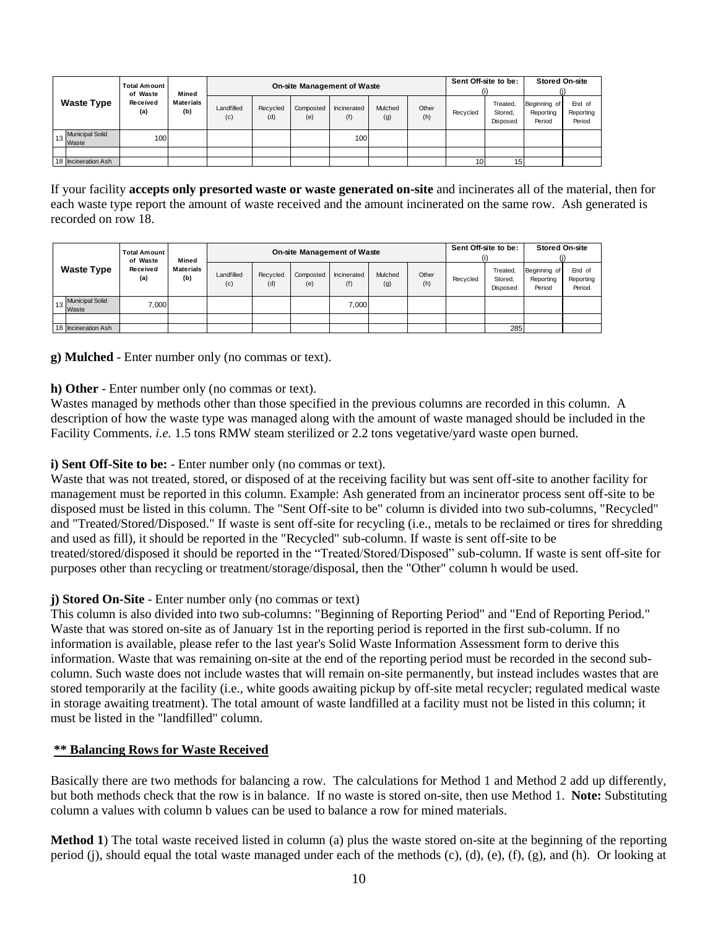|                             |                             |                                  |                   | <b>On-site Management of Waste</b> |                  |                    | Sent Off-site to be:<br>(i) |              | <b>Stored On-site</b> |                                 |                                     |                               |
|-----------------------------|-----------------------------|----------------------------------|-------------------|------------------------------------|------------------|--------------------|-----------------------------|--------------|-----------------------|---------------------------------|-------------------------------------|-------------------------------|
| <b>Waste Type</b>           | of Waste<br>Received<br>(a) | Mined<br><b>Materials</b><br>(b) | Landfilled<br>(c) | Recycled<br>(d)                    | Composted<br>(e) | Incinerated<br>(f) | Mulched<br>(g)              | Other<br>(h) | Recycled              | Treated,<br>Stored.<br>Disposed | Beginning of<br>Reporting<br>Period | End of<br>Reporting<br>Period |
| 13 Municipal Solid<br>Waste | 100 <sup>1</sup>            |                                  |                   |                                    |                  | 100                |                             |              |                       |                                 |                                     |                               |
|                             |                             |                                  |                   |                                    |                  |                    |                             |              |                       |                                 |                                     |                               |
| 18 Incineration Ash         |                             |                                  |                   |                                    |                  |                    |                             |              | 10                    | 15                              |                                     |                               |
|                             |                             |                                  |                   |                                    |                  |                    |                             |              |                       |                                 |                                     |                               |

If your facility **accepts only presorted waste or waste generated on-site** and incinerates all of the material, then for each waste type report the amount of waste received and the amount incinerated on the same row. Ash generated is recorded on row 18.

|                             |                             |                                  |                   | On-site Management of Waste |                  |                    | Sent Off-site to be:<br>(i) |              | <b>Stored On-site</b> |                                 |                                     |                               |
|-----------------------------|-----------------------------|----------------------------------|-------------------|-----------------------------|------------------|--------------------|-----------------------------|--------------|-----------------------|---------------------------------|-------------------------------------|-------------------------------|
| <b>Waste Type</b>           | of Waste<br>Received<br>(a) | Mined<br><b>Materials</b><br>(b) | Landfilled<br>(c) | Recycled<br>(d)             | Composted<br>(e) | Incinerated<br>(f) | Mulched<br>(g)              | Other<br>(h) | Recycled              | Treated,<br>Stored.<br>Disposed | Beginning of<br>Reporting<br>Period | End of<br>Reporting<br>Period |
| 13 Municipal Solid<br>Waste | 7.000                       |                                  |                   |                             |                  | 7.000              |                             |              |                       |                                 |                                     |                               |
|                             |                             |                                  |                   |                             |                  |                    |                             |              |                       |                                 |                                     |                               |
| 18 Incineration Ash         |                             |                                  |                   |                             |                  |                    |                             |              |                       | 285                             |                                     |                               |
|                             |                             |                                  |                   |                             |                  |                    |                             |              |                       |                                 |                                     |                               |

**g) Mulched** - Enter number only (no commas or text).

**h) Other** - Enter number only (no commas or text).

Wastes managed by methods other than those specified in the previous columns are recorded in this column. A description of how the waste type was managed along with the amount of waste managed should be included in the Facility Comments. *i.e.* 1.5 tons RMW steam sterilized or 2.2 tons vegetative/yard waste open burned.

## **i) Sent Off-Site to be:** - Enter number only (no commas or text).

Waste that was not treated, stored, or disposed of at the receiving facility but was sent off-site to another facility for management must be reported in this column. Example: Ash generated from an incinerator process sent off-site to be disposed must be listed in this column. The "Sent Off-site to be" column is divided into two sub-columns, "Recycled" and "Treated/Stored/Disposed." If waste is sent off-site for recycling (i.e., metals to be reclaimed or tires for shredding and used as fill), it should be reported in the "Recycled" sub-column. If waste is sent off-site to be treated/stored/disposed it should be reported in the "Treated/Stored/Disposed" sub-column. If waste is sent off-site for purposes other than recycling or treatment/storage/disposal, then the "Other" column h would be used.

# **j) Stored On-Site** - Enter number only (no commas or text)

This column is also divided into two sub-columns: "Beginning of Reporting Period" and "End of Reporting Period." Waste that was stored on-site as of January 1st in the reporting period is reported in the first sub-column. If no information is available, please refer to the last year's Solid Waste Information Assessment form to derive this information. Waste that was remaining on-site at the end of the reporting period must be recorded in the second subcolumn. Such waste does not include wastes that will remain on-site permanently, but instead includes wastes that are stored temporarily at the facility (i.e., white goods awaiting pickup by off-site metal recycler; regulated medical waste in storage awaiting treatment). The total amount of waste landfilled at a facility must not be listed in this column; it must be listed in the "landfilled" column.

#### **\*\* Balancing Rows for Waste Received**

Basically there are two methods for balancing a row. The calculations for Method 1 and Method 2 add up differently, but both methods check that the row is in balance. If no waste is stored on-site, then use Method 1. **Note:** Substituting column a values with column b values can be used to balance a row for mined materials.

**Method 1**) The total waste received listed in column (a) plus the waste stored on-site at the beginning of the reporting period (j), should equal the total waste managed under each of the methods (c), (d), (e), (f), (g), and (h). Or looking at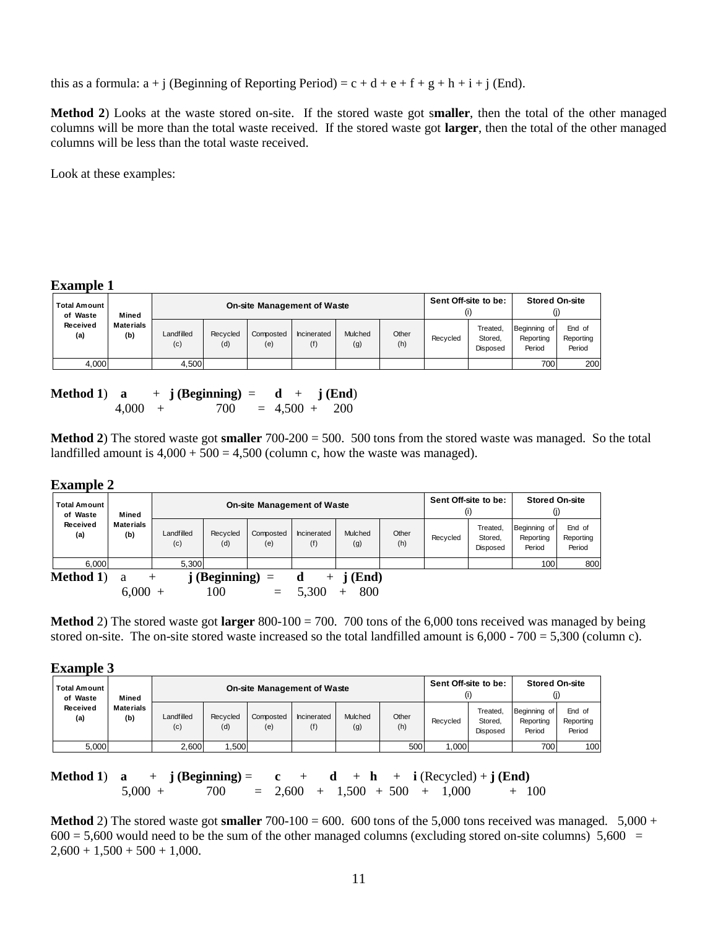this as a formula:  $a + j$  (Beginning of Reporting Period) =  $c + d + e + f + g + h + i + j$  (End).

**Method 2**) Looks at the waste stored on-site. If the stored waste got s**maller**, then the total of the other managed columns will be more than the total waste received. If the stored waste got **larger**, then the total of the other managed columns will be less than the total waste received.

Look at these examples:

#### **Example 1**

| <b>Total Amount</b><br>of Waste | Mined                   |                   |                 |                  | <b>On-site Management of Waste</b> |                |              |          | Sent Off-site to be:                   | <b>Stored On-site</b>               |                               |
|---------------------------------|-------------------------|-------------------|-----------------|------------------|------------------------------------|----------------|--------------|----------|----------------------------------------|-------------------------------------|-------------------------------|
| Received<br>(a)                 | <b>Materials</b><br>(b) | Landfilled<br>(c) | Recycled<br>(d) | Composted<br>(e) | Incinerated<br>(f)                 | Mulched<br>(g) | Other<br>(h) | Recycled | Treated,<br>Stored.<br><b>Disposed</b> | Beginning of<br>Reporting<br>Period | End of<br>Reporting<br>Period |
| 4,000                           |                         | 4.500             |                 |                  |                                    |                |              |          |                                        | 700                                 | 200                           |

| Method 1) a |           | $+$ j (Beginning) = d + j (End) |  |  |
|-------------|-----------|---------------------------------|--|--|
|             | $4.000 +$ | $700 = 4,500 + 200$             |  |  |

**Method 2**) The stored waste got **smaller** 700-200 = 500. 500 tons from the stored waste was managed. So the total landfilled amount is  $4,000 + 500 = 4,500$  (column c, how the waste was managed).

#### **Example 2**

| <b>Total Amount</b><br>of Waste | Mined                   |                   |                            |                  | <b>On-site Management of Waste</b> |                |              |          | Sent Off-site to be:<br>(i)     | <b>Stored On-site</b><br>(j)        |                               |
|---------------------------------|-------------------------|-------------------|----------------------------|------------------|------------------------------------|----------------|--------------|----------|---------------------------------|-------------------------------------|-------------------------------|
| Received<br>(a)                 | <b>Materials</b><br>(b) | Landfilled<br>(c) | Recycled<br>(d)            | Composted<br>(e) | Incinerated<br>(f)                 | Mulched<br>(g) | Other<br>(h) | Recycled | Treated,<br>Stored.<br>Disposed | Beginning of<br>Reporting<br>Period | End of<br>Reporting<br>Period |
| 6.000                           |                         | 5.300             |                            |                  |                                    |                |              |          |                                 | 100                                 | 800                           |
| <b>Method 1)</b>                | a                       |                   | $\mathbf{i}$ (Beginning) = |                  | $+$                                | $j$ (End)      |              |          |                                 |                                     |                               |
|                                 | 6,000                   |                   | 100                        | $\equiv$         | 5,300                              | 800            |              |          |                                 |                                     |                               |

**Method** 2) The stored waste got **larger** 800-100 = 700. 700 tons of the 6,000 tons received was managed by being stored on-site. The on-site stored waste increased so the total landfilled amount is  $6,000 - 700 = 5,300$  (column c).

#### **Example 3**

| <b>Total Amount I</b><br>of Waste |       | Mined                   |                   |                 |                  | <b>On-site Management of Waste</b> |                |              | Sent Off-site to be: |                                        | <b>Stored On-site</b><br>O)         |                               |
|-----------------------------------|-------|-------------------------|-------------------|-----------------|------------------|------------------------------------|----------------|--------------|----------------------|----------------------------------------|-------------------------------------|-------------------------------|
| Received<br>(a)                   |       | <b>Materials</b><br>(b) | Landfilled<br>(c) | Recycled<br>(d) | Composted<br>(e) | Incinerated<br>(f)                 | Mulched<br>(g) | Other<br>(h) | Recvcled             | Treated.<br>Stored.<br><b>Disposed</b> | Beginning of<br>Reporting<br>Period | End of<br>Reporting<br>Period |
|                                   | 5,000 |                         | 2,600             | ,500            |                  |                                    |                | 500          | 000.                 |                                        | <b>700</b>                          | 100                           |

**Method 1**) **a** + **j** (**Beginning**) = **c** + **d** + **h** + **i** (Recycled) + **j** (**End**)<br>5,000 + 700 = 2,600 + 1,500 + 500 + 1,000 + 1  $700 = 2{,}600 + 1{,}500 + 500 + 1{,}000 + 100$ 

**Method** 2) The stored waste got **smaller**  $700-100 = 600$ . 600 tons of the 5,000 tons received was managed.  $5,000 +$  $600 = 5{,}600$  would need to be the sum of the other managed columns (excluding stored on-site columns) 5,600 =  $2,600 + 1,500 + 500 + 1,000$ .